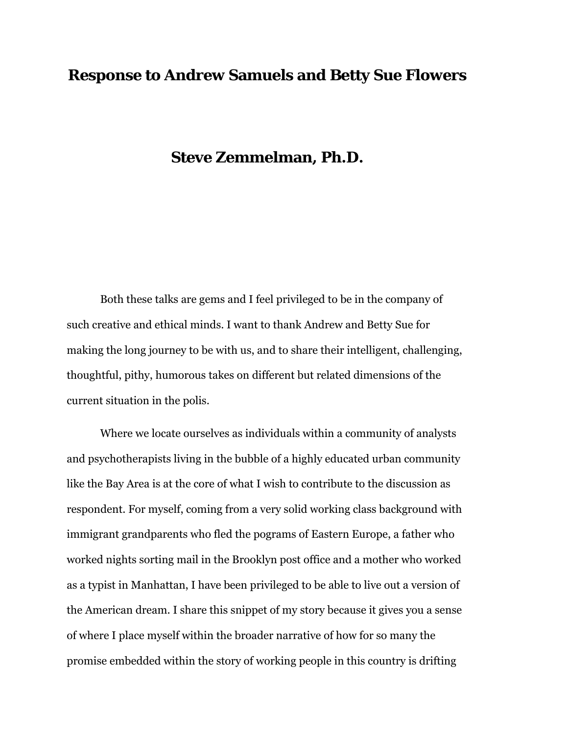## **Response to Andrew Samuels and Betty Sue Flowers**

## **Steve Zemmelman, Ph.D.**

Both these talks are gems and I feel privileged to be in the company of such creative and ethical minds. I want to thank Andrew and Betty Sue for making the long journey to be with us, and to share their intelligent, challenging, thoughtful, pithy, humorous takes on different but related dimensions of the current situation in the polis.

Where we locate ourselves as individuals within a community of analysts and psychotherapists living in the bubble of a highly educated urban community like the Bay Area is at the core of what I wish to contribute to the discussion as respondent. For myself, coming from a very solid working class background with immigrant grandparents who fled the pograms of Eastern Europe, a father who worked nights sorting mail in the Brooklyn post office and a mother who worked as a typist in Manhattan, I have been privileged to be able to live out a version of the American dream. I share this snippet of my story because it gives you a sense of where I place myself within the broader narrative of how for so many the promise embedded within the story of working people in this country is drifting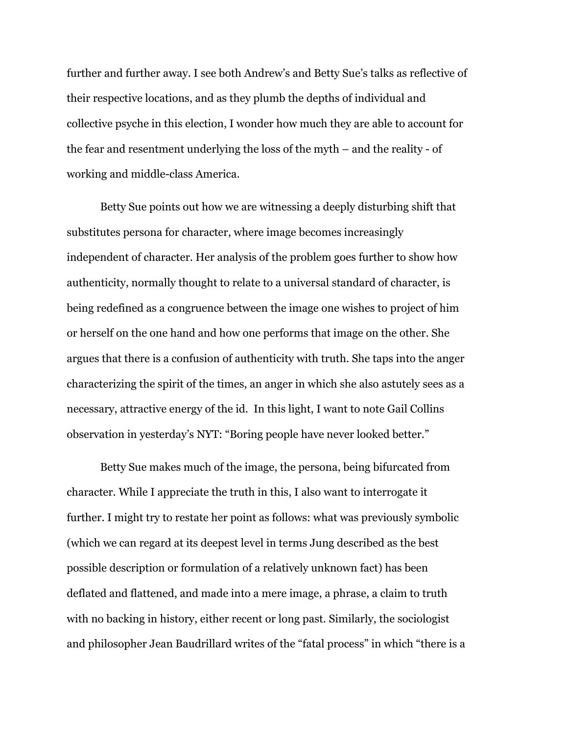further and further away. I see both Andrew's and Betty Sue's talks as reflective of their respective locations, and as they plumb the depths of individual and collective psyche in this election, I wonder how much they are able to account for the fear and resentment underlying the loss of the myth – and the reality - of working and middle-class America.

Betty Sue points out how we are witnessing a deeply disturbing shift that substitutes persona for character, where image becomes increasingly independent of character. Her analysis of the problem goes further to show how authenticity, normally thought to relate to a universal standard of character, is being redefined as a congruence between the image one wishes to project of him or herself on the one hand and how one performs that image on the other. She argues that there is a confusion of authenticity with truth. She taps into the anger characterizing the spirit of the times, an anger in which she also astutely sees as a necessary, attractive energy of the id. In this light, I want to note Gail Collins observation in yesterday's NYT: "Boring people have never looked better."

Betty Sue makes much of the image, the persona, being bifurcated from character. While I appreciate the truth in this, I also want to interrogate it further. I might try to restate her point as follows: what was previously symbolic (which we can regard at its deepest level in terms Jung described as the best possible description or formulation of a relatively unknown fact) has been deflated and flattened, and made into a mere image, a phrase, a claim to truth with no backing in history, either recent or long past. Similarly, the sociologist and philosopher Jean Baudrillard writes of the "fatal process" in which "there is a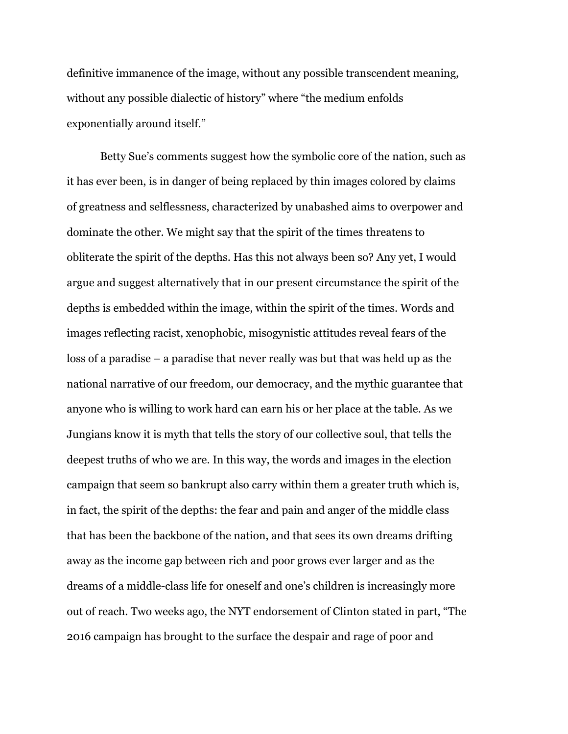definitive immanence of the image, without any possible transcendent meaning, without any possible dialectic of history" where "the medium enfolds exponentially around itself."

Betty Sue's comments suggest how the symbolic core of the nation, such as it has ever been, is in danger of being replaced by thin images colored by claims of greatness and selflessness, characterized by unabashed aims to overpower and dominate the other. We might say that the spirit of the times threatens to obliterate the spirit of the depths. Has this not always been so? Any yet, I would argue and suggest alternatively that in our present circumstance the spirit of the depths is embedded within the image, within the spirit of the times. Words and images reflecting racist, xenophobic, misogynistic attitudes reveal fears of the loss of a paradise – a paradise that never really was but that was held up as the national narrative of our freedom, our democracy, and the mythic guarantee that anyone who is willing to work hard can earn his or her place at the table. As we Jungians know it is myth that tells the story of our collective soul, that tells the deepest truths of who we are. In this way, the words and images in the election campaign that seem so bankrupt also carry within them a greater truth which is, in fact, the spirit of the depths: the fear and pain and anger of the middle class that has been the backbone of the nation, and that sees its own dreams drifting away as the income gap between rich and poor grows ever larger and as the dreams of a middle-class life for oneself and one's children is increasingly more out of reach. Two weeks ago, the NYT endorsement of Clinton stated in part, "The 2016 campaign has brought to the surface the despair and rage of poor and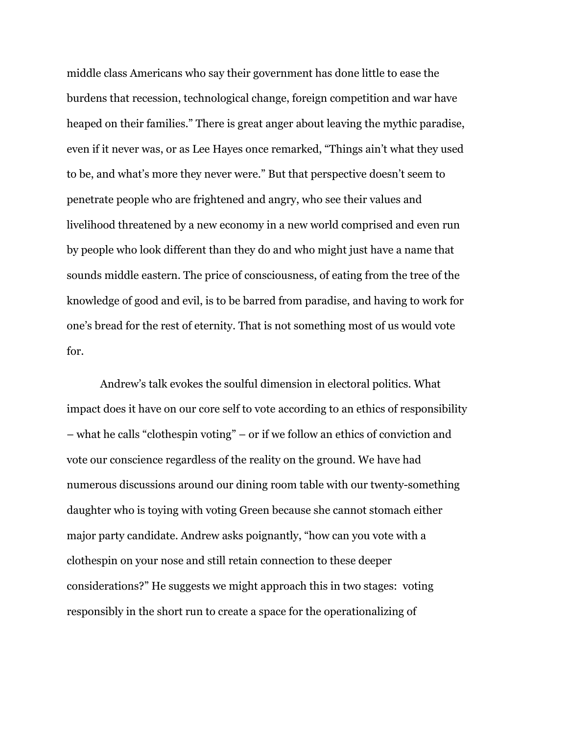middle class Americans who say their government has done little to ease the burdens that recession, technological change, foreign competition and war have heaped on their families." There is great anger about leaving the mythic paradise, even if it never was, or as Lee Hayes once remarked, "Things ain't what they used to be, and what's more they never were." But that perspective doesn't seem to penetrate people who are frightened and angry, who see their values and livelihood threatened by a new economy in a new world comprised and even run by people who look different than they do and who might just have a name that sounds middle eastern. The price of consciousness, of eating from the tree of the knowledge of good and evil, is to be barred from paradise, and having to work for one's bread for the rest of eternity. That is not something most of us would vote for.

Andrew's talk evokes the soulful dimension in electoral politics. What impact does it have on our core self to vote according to an ethics of responsibility – what he calls "clothespin voting" – or if we follow an ethics of conviction and vote our conscience regardless of the reality on the ground. We have had numerous discussions around our dining room table with our twenty-something daughter who is toying with voting Green because she cannot stomach either major party candidate. Andrew asks poignantly, "how can you vote with a clothespin on your nose and still retain connection to these deeper considerations?" He suggests we might approach this in two stages: voting responsibly in the short run to create a space for the operationalizing of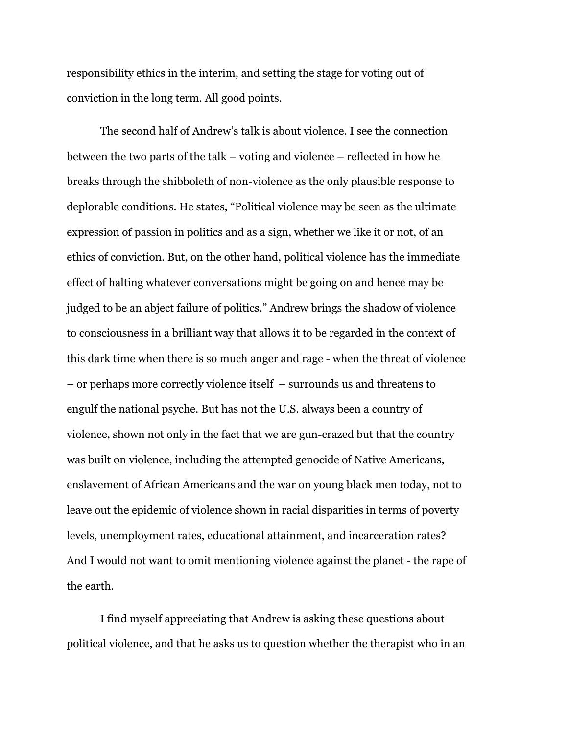responsibility ethics in the interim, and setting the stage for voting out of conviction in the long term. All good points.

The second half of Andrew's talk is about violence. I see the connection between the two parts of the talk – voting and violence – reflected in how he breaks through the shibboleth of non-violence as the only plausible response to deplorable conditions. He states, "Political violence may be seen as the ultimate expression of passion in politics and as a sign, whether we like it or not, of an ethics of conviction. But, on the other hand, political violence has the immediate effect of halting whatever conversations might be going on and hence may be judged to be an abject failure of politics." Andrew brings the shadow of violence to consciousness in a brilliant way that allows it to be regarded in the context of this dark time when there is so much anger and rage - when the threat of violence – or perhaps more correctly violence itself – surrounds us and threatens to engulf the national psyche. But has not the U.S. always been a country of violence, shown not only in the fact that we are gun-crazed but that the country was built on violence, including the attempted genocide of Native Americans, enslavement of African Americans and the war on young black men today, not to leave out the epidemic of violence shown in racial disparities in terms of poverty levels, unemployment rates, educational attainment, and incarceration rates? And I would not want to omit mentioning violence against the planet - the rape of the earth.

I find myself appreciating that Andrew is asking these questions about political violence, and that he asks us to question whether the therapist who in an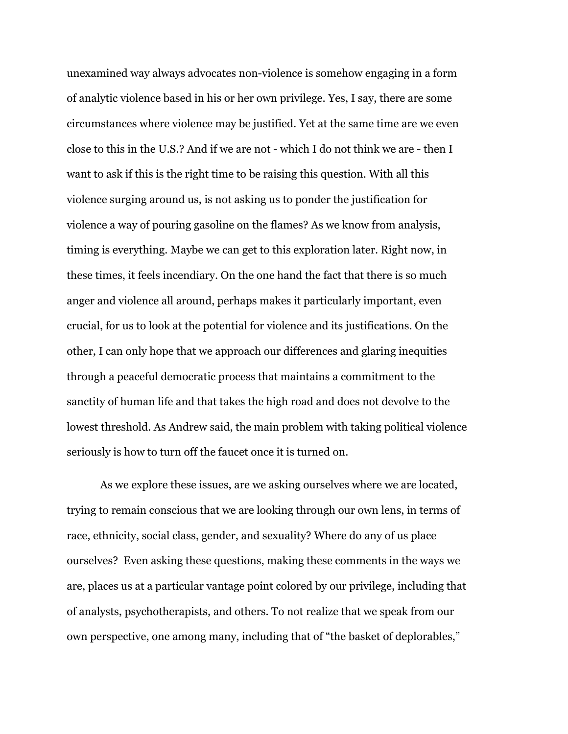unexamined way always advocates non-violence is somehow engaging in a form of analytic violence based in his or her own privilege. Yes, I say, there are some circumstances where violence may be justified. Yet at the same time are we even close to this in the U.S.? And if we are not - which I do not think we are - then I want to ask if this is the right time to be raising this question. With all this violence surging around us, is not asking us to ponder the justification for violence a way of pouring gasoline on the flames? As we know from analysis, timing is everything. Maybe we can get to this exploration later. Right now, in these times, it feels incendiary. On the one hand the fact that there is so much anger and violence all around, perhaps makes it particularly important, even crucial, for us to look at the potential for violence and its justifications. On the other, I can only hope that we approach our differences and glaring inequities through a peaceful democratic process that maintains a commitment to the sanctity of human life and that takes the high road and does not devolve to the lowest threshold. As Andrew said, the main problem with taking political violence seriously is how to turn off the faucet once it is turned on.

As we explore these issues, are we asking ourselves where we are located, trying to remain conscious that we are looking through our own lens, in terms of race, ethnicity, social class, gender, and sexuality? Where do any of us place ourselves? Even asking these questions, making these comments in the ways we are, places us at a particular vantage point colored by our privilege, including that of analysts, psychotherapists, and others. To not realize that we speak from our own perspective, one among many, including that of "the basket of deplorables,"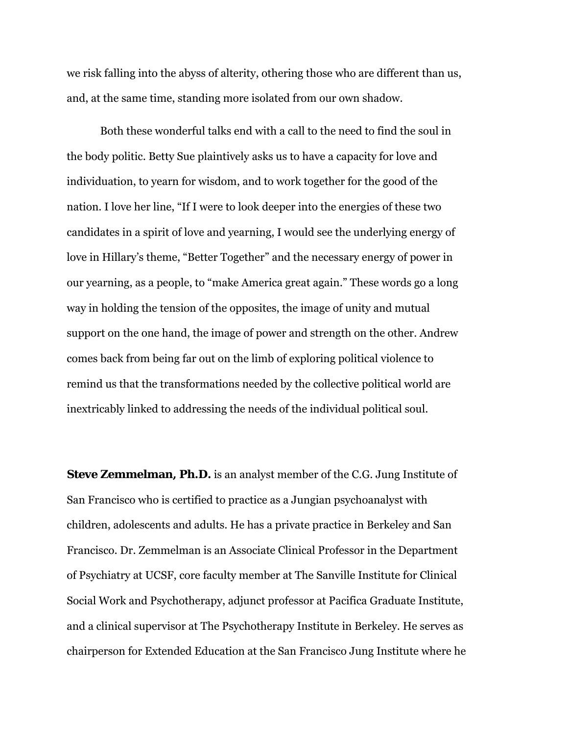we risk falling into the abyss of alterity, othering those who are different than us, and, at the same time, standing more isolated from our own shadow.

Both these wonderful talks end with a call to the need to find the soul in the body politic. Betty Sue plaintively asks us to have a capacity for love and individuation, to yearn for wisdom, and to work together for the good of the nation. I love her line, "If I were to look deeper into the energies of these two candidates in a spirit of love and yearning, I would see the underlying energy of love in Hillary's theme, "Better Together" and the necessary energy of power in our yearning, as a people, to "make America great again." These words go a long way in holding the tension of the opposites, the image of unity and mutual support on the one hand, the image of power and strength on the other. Andrew comes back from being far out on the limb of exploring political violence to remind us that the transformations needed by the collective political world are inextricably linked to addressing the needs of the individual political soul.

**Steve Zemmelman, Ph.D.** is an analyst member of the C.G. Jung Institute of San Francisco who is certified to practice as a Jungian psychoanalyst with children, adolescents and adults. He has a private practice in Berkeley and San Francisco. Dr. Zemmelman is an Associate Clinical Professor in the Department of Psychiatry at UCSF, core faculty member at The Sanville Institute for Clinical Social Work and Psychotherapy, adjunct professor at Pacifica Graduate Institute, and a clinical supervisor at The Psychotherapy Institute in Berkeley. He serves as chairperson for Extended Education at the San Francisco Jung Institute where he